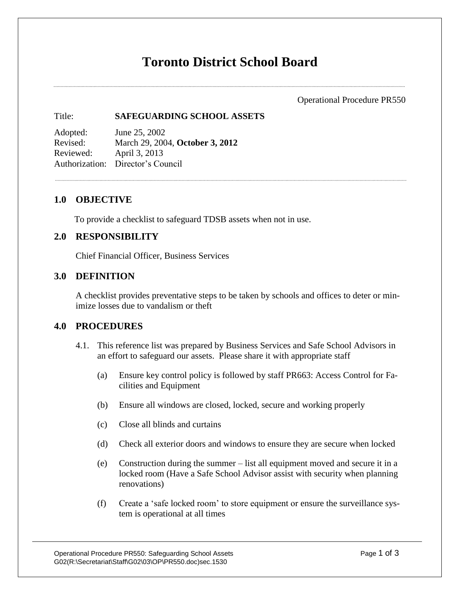# **Toronto District School Board**

Operational Procedure PR550

## Title: **SAFEGUARDING SCHOOL ASSETS**

Adopted: June 25, 2002 Revised: March 29, 2004, **October 3, 2012** Reviewed: April 3, 2013 Authorization: Director's Council

# **1.0 OBJECTIVE**

To provide a checklist to safeguard TDSB assets when not in use.

### **2.0 RESPONSIBILITY**

Chief Financial Officer, Business Services

# **3.0 DEFINITION**

A checklist provides preventative steps to be taken by schools and offices to deter or minimize losses due to vandalism or theft

### **4.0 PROCEDURES**

- 4.1. This reference list was prepared by Business Services and Safe School Advisors in an effort to safeguard our assets. Please share it with appropriate staff
	- (a) Ensure key control policy is followed by staff PR663: Access Control for Facilities and Equipment
	- (b) Ensure all windows are closed, locked, secure and working properly
	- (c) Close all blinds and curtains
	- (d) Check all exterior doors and windows to ensure they are secure when locked
	- (e) Construction during the summer list all equipment moved and secure it in a locked room (Have a Safe School Advisor assist with security when planning renovations)
	- (f) Create a 'safe locked room' to store equipment or ensure the surveillance system is operational at all times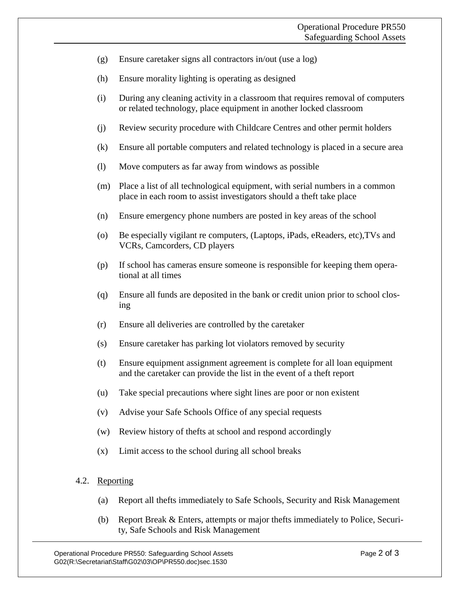- (g) Ensure caretaker signs all contractors in/out (use a log)
- (h) Ensure morality lighting is operating as designed
- (i) During any cleaning activity in a classroom that requires removal of computers or related technology, place equipment in another locked classroom
- (j) Review security procedure with Childcare Centres and other permit holders
- (k) Ensure all portable computers and related technology is placed in a secure area
- (l) Move computers as far away from windows as possible
- (m) Place a list of all technological equipment, with serial numbers in a common place in each room to assist investigators should a theft take place
- (n) Ensure emergency phone numbers are posted in key areas of the school
- (o) Be especially vigilant re computers, (Laptops, iPads, eReaders, etc),TVs and VCRs, Camcorders, CD players
- (p) If school has cameras ensure someone is responsible for keeping them operational at all times
- (q) Ensure all funds are deposited in the bank or credit union prior to school closing
- (r) Ensure all deliveries are controlled by the caretaker
- (s) Ensure caretaker has parking lot violators removed by security
- (t) Ensure equipment assignment agreement is complete for all loan equipment and the caretaker can provide the list in the event of a theft report
- (u) Take special precautions where sight lines are poor or non existent
- (v) Advise your Safe Schools Office of any special requests
- (w) Review history of thefts at school and respond accordingly
- (x) Limit access to the school during all school breaks

#### 4.2. Reporting

- (a) Report all thefts immediately to Safe Schools, Security and Risk Management
- (b) Report Break & Enters, attempts or major thefts immediately to Police, Security, Safe Schools and Risk Management